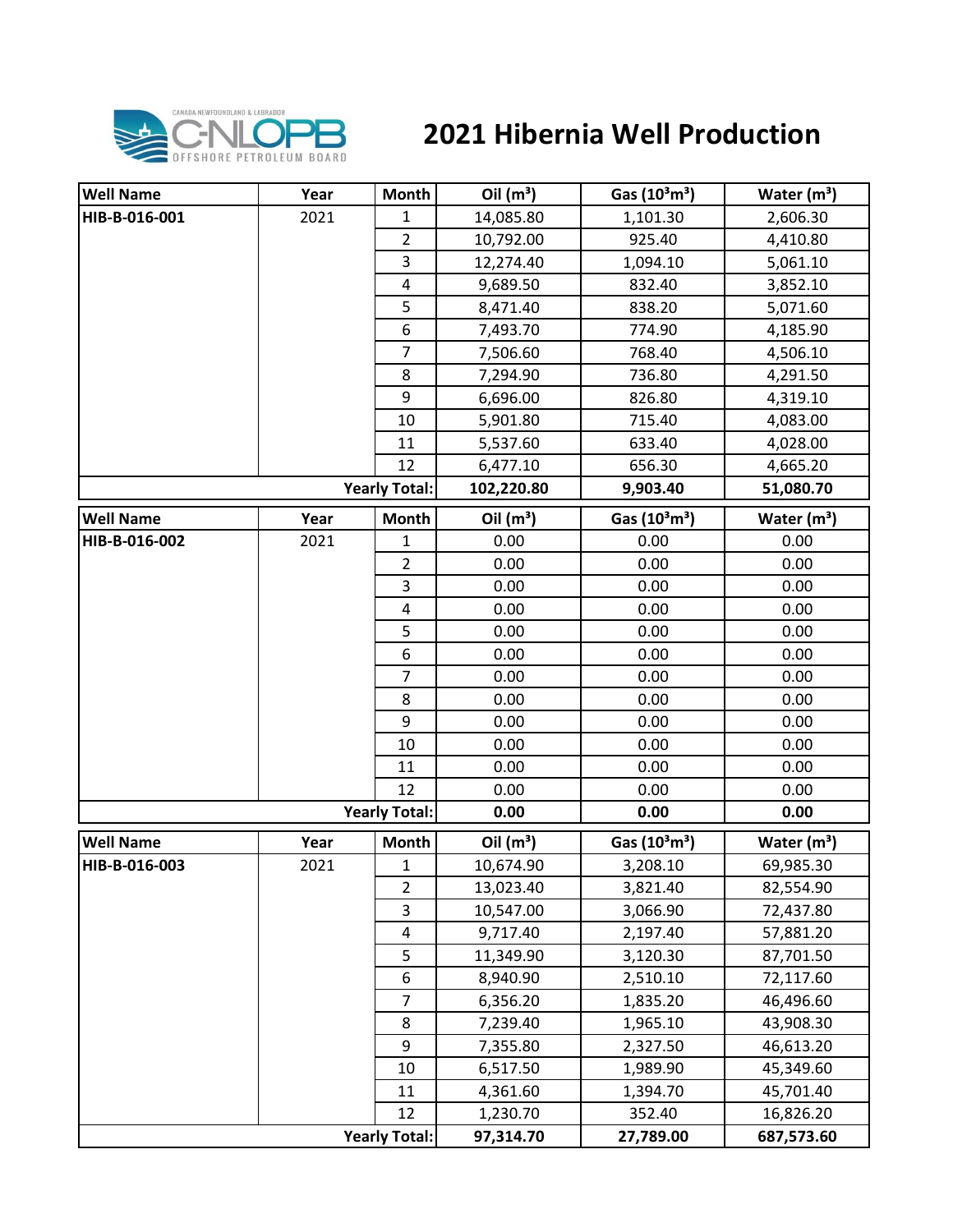

## **2021 Hibernia Well Production**

| <b>Well Name</b> | Year | Month                | Oil $(m^3)$ | Gas (10 <sup>3</sup> m <sup>3</sup> ) | Water $(m^3)$ |
|------------------|------|----------------------|-------------|---------------------------------------|---------------|
| HIB-B-016-001    | 2021 | $\mathbf{1}$         | 14,085.80   | 1,101.30                              | 2,606.30      |
|                  |      | $\overline{2}$       | 10,792.00   | 925.40                                | 4,410.80      |
|                  |      | $\overline{3}$       | 12,274.40   | 1,094.10                              | 5,061.10      |
|                  |      | $\pmb{4}$            | 9,689.50    | 832.40                                | 3,852.10      |
|                  |      | 5                    | 8,471.40    | 838.20                                | 5,071.60      |
|                  |      | 6                    | 7,493.70    | 774.90                                | 4,185.90      |
|                  |      | $\overline{7}$       | 7,506.60    | 768.40                                | 4,506.10      |
|                  |      | 8                    | 7,294.90    | 736.80                                | 4,291.50      |
|                  |      | 9                    | 6,696.00    | 826.80                                | 4,319.10      |
|                  |      | 10                   | 5,901.80    | 715.40                                | 4,083.00      |
|                  |      | 11                   | 5,537.60    | 633.40                                | 4,028.00      |
|                  |      | 12                   | 6,477.10    | 656.30                                | 4,665.20      |
|                  |      | <b>Yearly Total:</b> | 102,220.80  | 9,903.40                              | 51,080.70     |
| <b>Well Name</b> | Year | Month                | Oil $(m^3)$ | Gas (10 <sup>3</sup> m <sup>3</sup> ) | Water $(m^3)$ |
| HIB-B-016-002    | 2021 | 1                    | 0.00        | 0.00                                  | 0.00          |
|                  |      | $\overline{2}$       | 0.00        | 0.00                                  | 0.00          |
|                  |      | 3                    | 0.00        | 0.00                                  | 0.00          |
|                  |      | 4                    | 0.00        | 0.00                                  | 0.00          |
|                  |      | 5                    | 0.00        | 0.00                                  | 0.00          |
|                  |      | 6                    | 0.00        | 0.00                                  | 0.00          |
|                  |      | $\overline{7}$       | 0.00        | 0.00                                  | 0.00          |
|                  |      | 8                    | 0.00        | 0.00                                  | 0.00          |
|                  |      | 9                    | 0.00        | 0.00                                  | 0.00          |
|                  |      | 10                   | 0.00        | 0.00                                  | 0.00          |
|                  |      | 11                   | 0.00        | 0.00                                  | 0.00          |
|                  |      | 12                   | 0.00        | 0.00                                  | 0.00          |
|                  |      | <b>Yearly Total:</b> | 0.00        | 0.00                                  | 0.00          |
| <b>Well Name</b> | Year | Month                | Oil $(m^3)$ | Gas $(10^3 \text{m}^3)$               | Water $(m3)$  |
| HIB-B-016-003    | 2021 | $\mathbf 1$          | 10,674.90   | 3,208.10                              | 69,985.30     |
|                  |      | $\overline{2}$       | 13,023.40   | 3,821.40                              | 82,554.90     |
|                  |      | 3                    | 10,547.00   | 3,066.90                              | 72,437.80     |
|                  |      | $\pmb{4}$            | 9,717.40    | 2,197.40                              | 57,881.20     |
|                  |      | 5                    | 11,349.90   | 3,120.30                              | 87,701.50     |
|                  |      | $\boldsymbol{6}$     | 8,940.90    | 2,510.10                              | 72,117.60     |
|                  |      | $\overline{7}$       | 6,356.20    | 1,835.20                              | 46,496.60     |
|                  |      | 8                    | 7,239.40    | 1,965.10                              | 43,908.30     |
|                  |      | 9                    | 7,355.80    | 2,327.50                              | 46,613.20     |
|                  |      | 10                   | 6,517.50    | 1,989.90                              | 45,349.60     |
|                  |      | 11                   | 4,361.60    | 1,394.70                              | 45,701.40     |
|                  |      | 12                   | 1,230.70    | 352.40                                | 16,826.20     |
|                  |      | <b>Yearly Total:</b> | 97,314.70   | 27,789.00                             | 687,573.60    |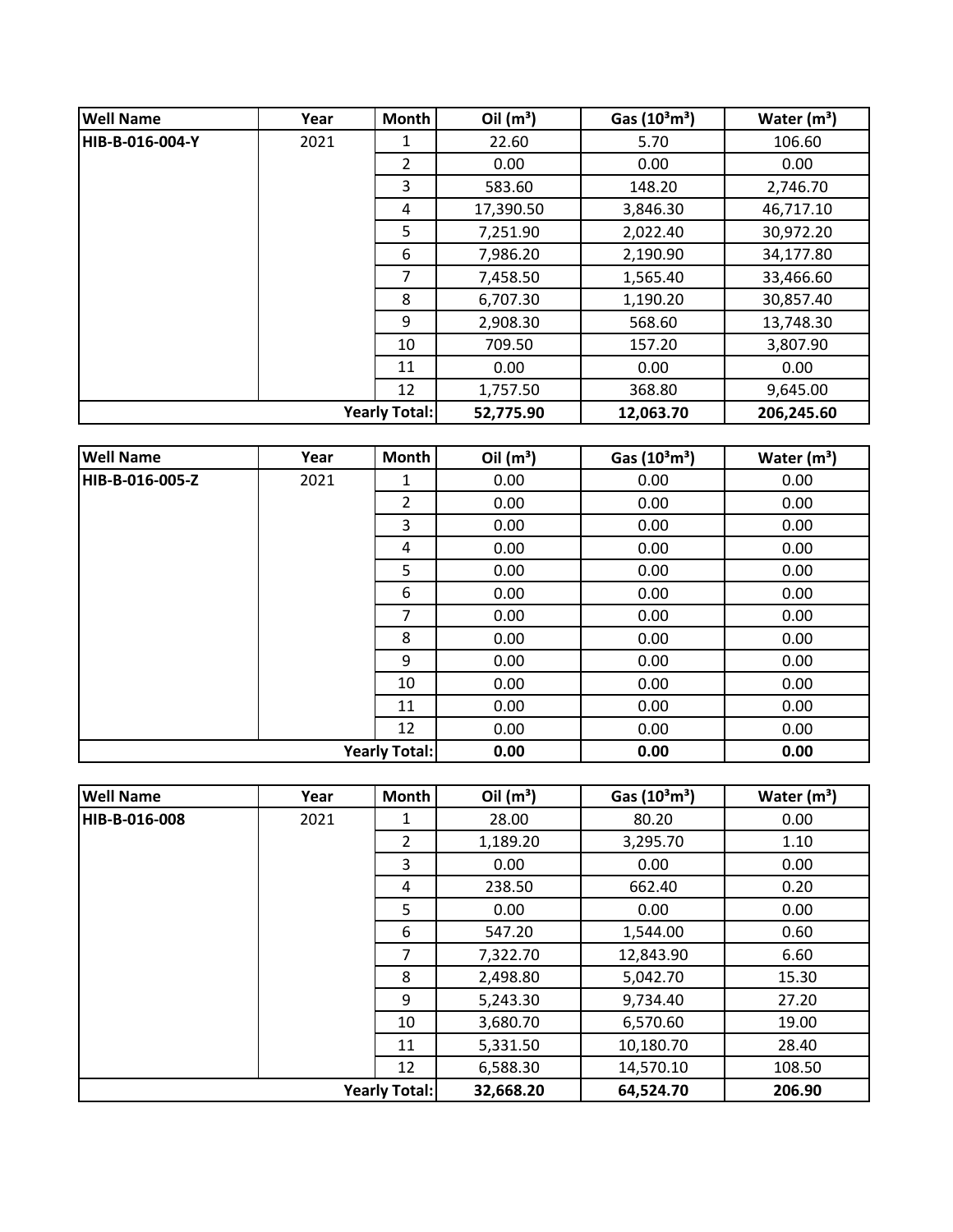| <b>Well Name</b>     | Year | Month     | Oil $(m^3)$ | Gas $(10^3 \text{m}^3)$ | Water $(m^3)$ |
|----------------------|------|-----------|-------------|-------------------------|---------------|
| HIB-B-016-004-Y      | 2021 | 1         | 22.60       | 5.70                    | 106.60        |
|                      |      | 2         | 0.00        | 0.00                    | 0.00          |
|                      |      | 3         | 583.60      | 148.20                  | 2,746.70      |
|                      |      | 4         | 17,390.50   | 3,846.30                | 46,717.10     |
|                      |      | 5         | 7,251.90    | 2,022.40                | 30,972.20     |
|                      |      | 6         | 7,986.20    | 2,190.90                | 34,177.80     |
|                      |      | 7         | 7,458.50    | 1,565.40                | 33,466.60     |
|                      |      | 8         | 6,707.30    | 1,190.20                | 30,857.40     |
|                      |      | 9         | 2,908.30    | 568.60                  | 13,748.30     |
|                      |      | 10        | 709.50      | 157.20                  | 3,807.90      |
|                      |      | 11        | 0.00        | 0.00                    | 0.00          |
|                      |      | 12        | 1,757.50    | 368.80                  | 9,645.00      |
| <b>Yearly Total:</b> |      | 52,775.90 | 12,063.70   | 206,245.60              |               |

| <b>Well Name</b> | Year | Month                | Oil $(m^3)$ | Gas $(10^3 \text{m}^3)$ | Water $(m^3)$ |
|------------------|------|----------------------|-------------|-------------------------|---------------|
| HIB-B-016-005-Z  | 2021 | 1                    | 0.00        | 0.00                    | 0.00          |
|                  |      | $\overline{2}$       | 0.00        | 0.00                    | 0.00          |
|                  |      | 3                    | 0.00        | 0.00                    | 0.00          |
|                  |      | 4                    | 0.00        | 0.00                    | 0.00          |
|                  |      | 5                    | 0.00        | 0.00                    | 0.00          |
|                  |      | 6                    | 0.00        | 0.00                    | 0.00          |
|                  |      | 7                    | 0.00        | 0.00                    | 0.00          |
|                  |      | 8                    | 0.00        | 0.00                    | 0.00          |
|                  |      | 9                    | 0.00        | 0.00                    | 0.00          |
|                  |      | 10                   | 0.00        | 0.00                    | 0.00          |
|                  |      | 11                   | 0.00        | 0.00                    | 0.00          |
|                  |      | 12                   | 0.00        | 0.00                    | 0.00          |
|                  |      | <b>Yearly Total:</b> | 0.00        | 0.00                    | 0.00          |

| <b>Well Name</b>     | Year | <b>Month</b>   | Oil $(m^3)$ | Gas $(10^3 \text{m}^3)$ | Water $(m^3)$ |
|----------------------|------|----------------|-------------|-------------------------|---------------|
| HIB-B-016-008        | 2021 | 1              | 28.00       | 80.20                   | 0.00          |
|                      |      | $\overline{2}$ | 1,189.20    | 3,295.70                | 1.10          |
|                      |      | 3              | 0.00        | 0.00                    | 0.00          |
|                      |      | 4              | 238.50      | 662.40                  | 0.20          |
|                      |      | 5              | 0.00        | 0.00                    | 0.00          |
|                      |      | 6              | 547.20      | 1,544.00                | 0.60          |
|                      |      | 7              | 7,322.70    | 12,843.90               | 6.60          |
|                      |      | 8              | 2,498.80    | 5,042.70                | 15.30         |
|                      |      | 9              | 5,243.30    | 9,734.40                | 27.20         |
|                      |      | 10             | 3,680.70    | 6,570.60                | 19.00         |
|                      |      | 11             | 5,331.50    | 10,180.70               | 28.40         |
|                      |      | 12             | 6,588.30    | 14,570.10               | 108.50        |
| <b>Yearly Total:</b> |      |                | 32,668.20   | 64,524.70               | 206.90        |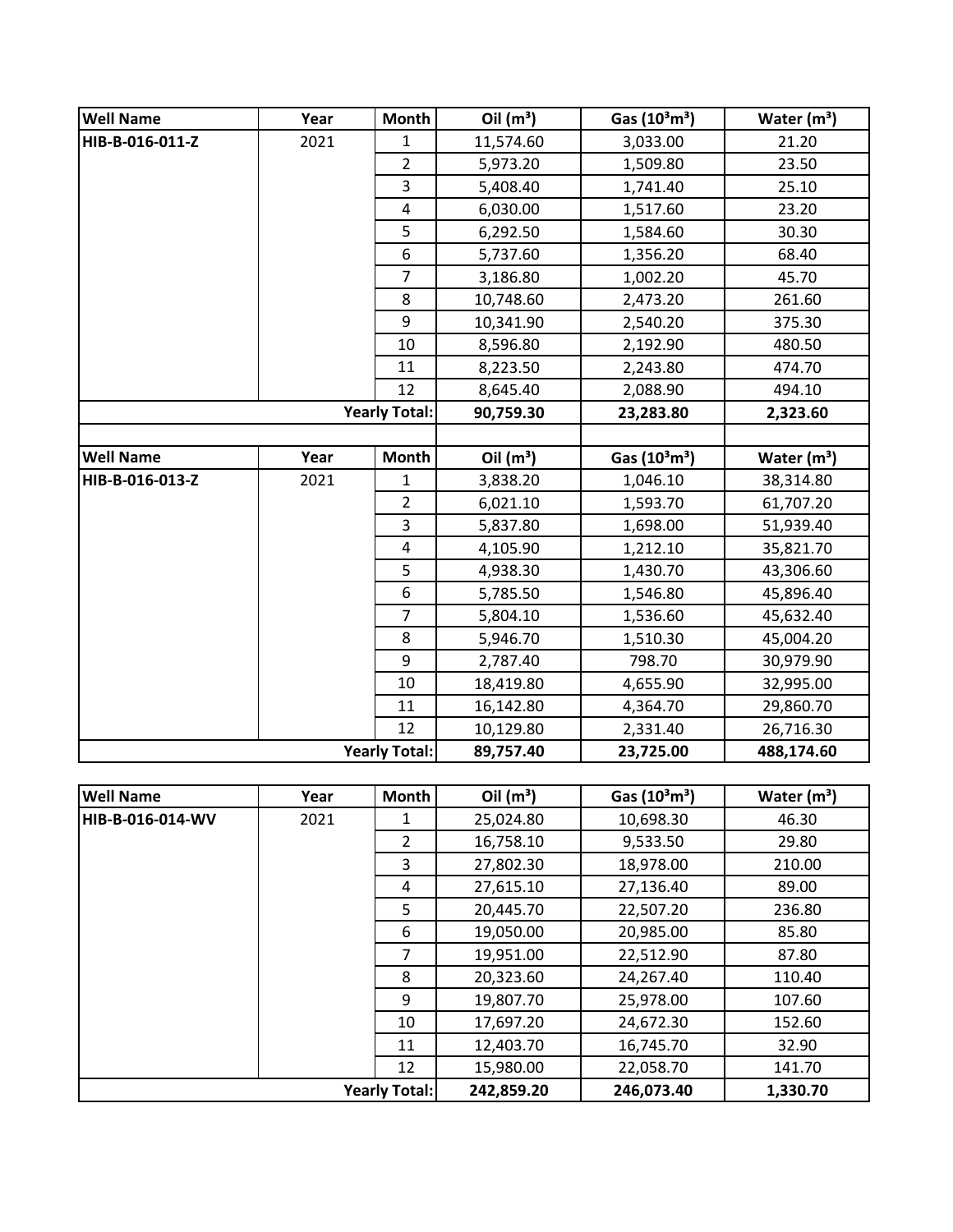| <b>Well Name</b> | Year | <b>Month</b>         | Oil $(m^3)$ | Gas (10 <sup>3</sup> m <sup>3</sup> ) | Water $(m^3)$ |
|------------------|------|----------------------|-------------|---------------------------------------|---------------|
| HIB-B-016-011-Z  | 2021 | $\mathbf{1}$         | 11,574.60   | 3,033.00                              | 21.20         |
|                  |      | $\overline{2}$       | 5,973.20    | 1,509.80                              | 23.50         |
|                  |      | 3                    | 5,408.40    | 1,741.40                              | 25.10         |
|                  |      | 4                    | 6,030.00    | 1,517.60                              | 23.20         |
|                  |      | 5                    | 6,292.50    | 1,584.60                              | 30.30         |
|                  |      | 6                    | 5,737.60    | 1,356.20                              | 68.40         |
|                  |      | $\overline{7}$       | 3,186.80    | 1,002.20                              | 45.70         |
|                  |      | 8                    | 10,748.60   | 2,473.20                              | 261.60        |
|                  |      | 9                    | 10,341.90   | 2,540.20                              | 375.30        |
|                  |      | 10                   | 8,596.80    | 2,192.90                              | 480.50        |
|                  |      | 11                   | 8,223.50    | 2,243.80                              | 474.70        |
|                  |      | 12                   | 8,645.40    | 2,088.90                              | 494.10        |
|                  |      | <b>Yearly Total:</b> | 90,759.30   | 23,283.80                             | 2,323.60      |
|                  |      |                      |             |                                       |               |
| <b>Well Name</b> | Year | Month                | Oil $(m^3)$ | Gas (10 <sup>3</sup> m <sup>3</sup> ) | Water $(m3)$  |
| HIB-B-016-013-Z  | 2021 | 1                    | 3,838.20    | 1,046.10                              | 38,314.80     |
|                  |      | $\overline{2}$       | 6,021.10    | 1,593.70                              | 61,707.20     |
|                  |      | 3                    | 5,837.80    | 1,698.00                              | 51,939.40     |
|                  |      | 4                    | 4,105.90    | 1,212.10                              | 35,821.70     |
|                  |      | 5                    | 4,938.30    | 1,430.70                              | 43,306.60     |
|                  |      | 6                    | 5,785.50    | 1,546.80                              | 45,896.40     |
|                  |      | $\overline{7}$       | 5,804.10    | 1,536.60                              | 45,632.40     |
|                  |      | 8                    | 5,946.70    | 1,510.30                              | 45,004.20     |
|                  |      | 9                    | 2,787.40    | 798.70                                | 30,979.90     |
|                  |      | 10                   | 18,419.80   | 4,655.90                              | 32,995.00     |
|                  |      | 11                   | 16,142.80   | 4,364.70                              | 29,860.70     |
|                  |      | 12                   | 10,129.80   | 2,331.40                              | 26,716.30     |
|                  |      | <b>Yearly Total:</b> | 89,757.40   | 23,725.00                             | 488,174.60    |
|                  |      |                      |             |                                       |               |
| <b>Well Name</b> | Year | <b>Month</b>         | Oil $(m^3)$ | Gas (10 <sup>3</sup> m <sup>3</sup> ) | Water $(m^3)$ |
| HIB-B-016-014-WV | 2021 | 1                    | 25,024.80   | 10,698.30                             | 46.30         |
|                  |      | $\overline{2}$       | 16,758.10   | 9,533.50                              | 29.80         |
|                  |      | 3                    | 27,802.30   | 18,978.00                             | 210.00        |
|                  |      | 4                    | 27,615.10   | 27,136.40                             | 89.00         |
|                  |      | 5                    | 20,445.70   | 22,507.20                             | 236.80        |
|                  |      | 6                    | 19,050.00   | 20,985.00                             | 85.80         |
|                  |      | $\overline{7}$       | 19,951.00   | 22,512.90                             | 87.80         |
|                  |      | 8                    | 20,323.60   | 24,267.40                             | 110.40        |
|                  |      | 9                    | 19,807.70   | 25,978.00                             | 107.60        |
|                  |      | 10                   | 17,697.20   | 24,672.30                             | 152.60        |
|                  |      | 11                   | 12,403.70   | 16,745.70                             | 32.90         |
|                  |      | 12                   | 15,980.00   | 22,058.70                             | 141.70        |
|                  |      | <b>Yearly Total:</b> | 242,859.20  | 246,073.40                            | 1,330.70      |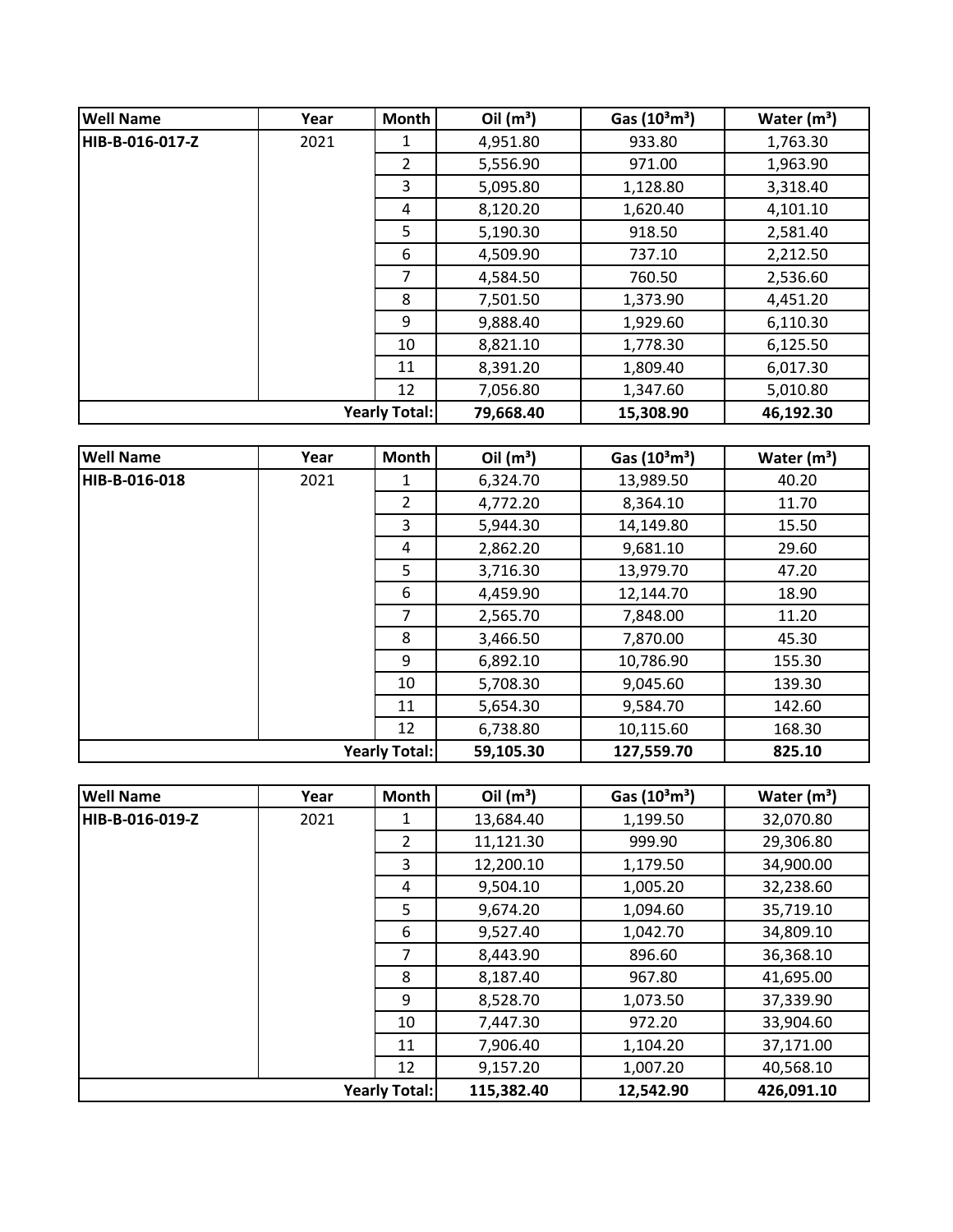| <b>Well Name</b> | Year | Month                | Oil $(m^3)$ | Gas $(10^3 \text{m}^3)$ | Water $(m^3)$ |
|------------------|------|----------------------|-------------|-------------------------|---------------|
| HIB-B-016-017-Z  | 2021 | 1                    | 4,951.80    | 933.80                  | 1,763.30      |
|                  |      | $\overline{2}$       | 5,556.90    | 971.00                  | 1,963.90      |
|                  |      | 3                    | 5,095.80    | 1,128.80                | 3,318.40      |
|                  |      | 4                    | 8,120.20    | 1,620.40                | 4,101.10      |
|                  |      | 5                    | 5,190.30    | 918.50                  | 2,581.40      |
|                  |      | 6                    | 4,509.90    | 737.10                  | 2,212.50      |
|                  |      | 7                    | 4,584.50    | 760.50                  | 2,536.60      |
|                  |      | 8                    | 7,501.50    | 1,373.90                | 4,451.20      |
|                  |      | 9                    | 9,888.40    | 1,929.60                | 6,110.30      |
|                  |      | 10                   | 8,821.10    | 1,778.30                | 6,125.50      |
|                  |      | 11                   | 8,391.20    | 1,809.40                | 6,017.30      |
|                  |      | 12                   | 7,056.80    | 1,347.60                | 5,010.80      |
|                  |      | <b>Yearly Total:</b> | 79,668.40   | 15,308.90               | 46,192.30     |

| <b>Well Name</b> | Year | <b>Month</b>         | Oil $(m^3)$ | Gas $(10^3 \text{m}^3)$ | Water $(m^3)$ |
|------------------|------|----------------------|-------------|-------------------------|---------------|
| HIB-B-016-018    | 2021 | 1                    | 6,324.70    | 13,989.50               | 40.20         |
|                  |      | $\overline{2}$       | 4,772.20    | 8,364.10                | 11.70         |
|                  |      | 3                    | 5,944.30    | 14,149.80               | 15.50         |
|                  |      | 4                    | 2,862.20    | 9,681.10                | 29.60         |
|                  |      | 5                    | 3,716.30    | 13,979.70               | 47.20         |
|                  |      | 6                    | 4,459.90    | 12,144.70               | 18.90         |
|                  |      | 7                    | 2,565.70    | 7,848.00                | 11.20         |
|                  |      | 8                    | 3,466.50    | 7,870.00                | 45.30         |
|                  |      | 9                    | 6,892.10    | 10,786.90               | 155.30        |
|                  |      | 10                   | 5,708.30    | 9,045.60                | 139.30        |
|                  |      | 11                   | 5,654.30    | 9,584.70                | 142.60        |
|                  |      | 12                   | 6,738.80    | 10,115.60               | 168.30        |
|                  |      | <b>Yearly Total:</b> | 59,105.30   | 127,559.70              | 825.10        |

| <b>Well Name</b> | Year | <b>Month</b>         | Oil $(m^3)$ | Gas $(10^3 \text{m}^3)$ | Water $(m^3)$ |
|------------------|------|----------------------|-------------|-------------------------|---------------|
| HIB-B-016-019-Z  | 2021 | 1                    | 13,684.40   | 1,199.50                | 32,070.80     |
|                  |      | $\overline{2}$       | 11,121.30   | 999.90                  | 29,306.80     |
|                  |      | 3                    | 12,200.10   | 1,179.50                | 34,900.00     |
|                  |      | 4                    | 9,504.10    | 1,005.20                | 32,238.60     |
|                  |      | 5.                   | 9,674.20    | 1,094.60                | 35,719.10     |
|                  |      | 6                    | 9,527.40    | 1,042.70                | 34,809.10     |
|                  |      | 7                    | 8,443.90    | 896.60                  | 36,368.10     |
|                  |      | 8                    | 8,187.40    | 967.80                  | 41,695.00     |
|                  |      | 9                    | 8,528.70    | 1,073.50                | 37,339.90     |
|                  |      | 10                   | 7,447.30    | 972.20                  | 33,904.60     |
|                  |      | 11                   | 7,906.40    | 1,104.20                | 37,171.00     |
|                  |      | 12                   | 9,157.20    | 1,007.20                | 40,568.10     |
|                  |      | <b>Yearly Total:</b> | 115,382.40  | 12,542.90               | 426,091.10    |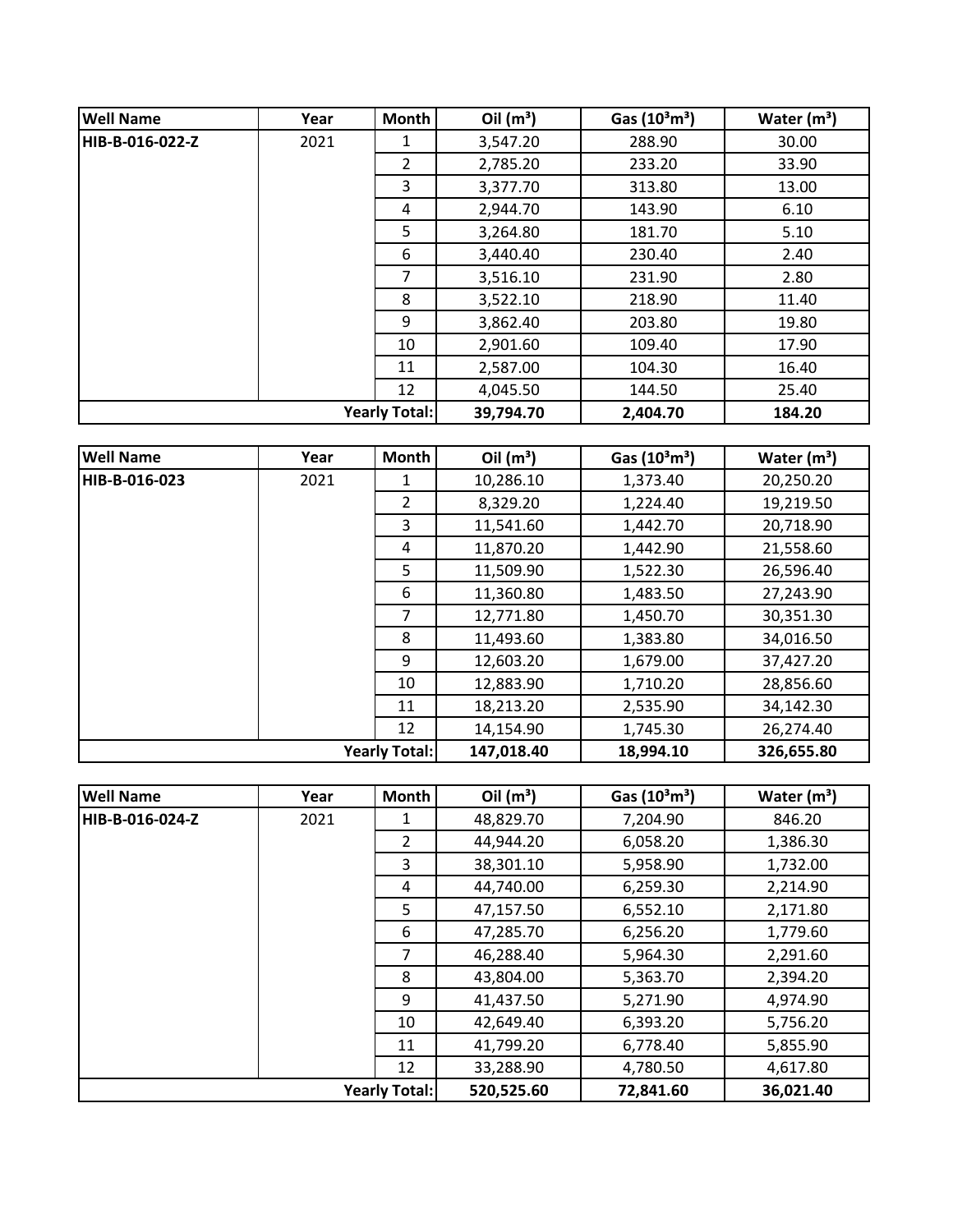| <b>Well Name</b> | Year | Month                | Oil $(m^3)$ | Gas $(10^3 \text{m}^3)$ | Water $(m^3)$ |
|------------------|------|----------------------|-------------|-------------------------|---------------|
| HIB-B-016-022-Z  | 2021 | 1                    | 3,547.20    | 288.90                  | 30.00         |
|                  |      | $\overline{2}$       | 2,785.20    | 233.20                  | 33.90         |
|                  |      | 3                    | 3,377.70    | 313.80                  | 13.00         |
|                  |      | 4                    | 2,944.70    | 143.90                  | 6.10          |
|                  |      | 5                    | 3,264.80    | 181.70                  | 5.10          |
|                  |      | 6                    | 3,440.40    | 230.40                  | 2.40          |
|                  |      | 7                    | 3,516.10    | 231.90                  | 2.80          |
|                  |      | 8                    | 3,522.10    | 218.90                  | 11.40         |
|                  |      | 9                    | 3,862.40    | 203.80                  | 19.80         |
|                  |      | 10                   | 2,901.60    | 109.40                  | 17.90         |
|                  |      | 11                   | 2,587.00    | 104.30                  | 16.40         |
|                  |      | 12                   | 4,045.50    | 144.50                  | 25.40         |
|                  |      | <b>Yearly Total:</b> | 39,794.70   | 2,404.70                | 184.20        |

| <b>Well Name</b> | Year | Month                | Oil $(m^3)$ | Gas $(10^3 \text{m}^3)$ | Water $(m^3)$ |
|------------------|------|----------------------|-------------|-------------------------|---------------|
| HIB-B-016-023    | 2021 | 1                    | 10,286.10   | 1,373.40                | 20,250.20     |
|                  |      | $\overline{2}$       | 8,329.20    | 1,224.40                | 19,219.50     |
|                  |      | 3                    | 11,541.60   | 1,442.70                | 20,718.90     |
|                  |      | 4                    | 11,870.20   | 1,442.90                | 21,558.60     |
|                  |      | 5                    | 11,509.90   | 1,522.30                | 26,596.40     |
|                  |      | 6                    | 11,360.80   | 1,483.50                | 27,243.90     |
|                  |      | $\overline{7}$       | 12,771.80   | 1,450.70                | 30,351.30     |
|                  |      | 8                    | 11,493.60   | 1,383.80                | 34,016.50     |
|                  |      | 9                    | 12,603.20   | 1,679.00                | 37,427.20     |
|                  |      | 10                   | 12,883.90   | 1,710.20                | 28,856.60     |
|                  |      | 11                   | 18,213.20   | 2,535.90                | 34,142.30     |
|                  |      | 12                   | 14,154.90   | 1,745.30                | 26,274.40     |
|                  |      | <b>Yearly Total:</b> | 147,018.40  | 18,994.10               | 326,655.80    |

| <b>Well Name</b>     | Year | <b>Month</b>   | Oil $(m^3)$ | Gas $(10^3 \text{m}^3)$ | Water $(m^3)$ |
|----------------------|------|----------------|-------------|-------------------------|---------------|
| HIB-B-016-024-Z      | 2021 |                | 48,829.70   | 7,204.90                | 846.20        |
|                      |      | $\overline{2}$ | 44,944.20   | 6,058.20                | 1,386.30      |
|                      |      | 3              | 38,301.10   | 5,958.90                | 1,732.00      |
|                      |      | 4              | 44,740.00   | 6,259.30                | 2,214.90      |
|                      |      | 5              | 47,157.50   | 6,552.10                | 2,171.80      |
|                      |      | 6              | 47,285.70   | 6,256.20                | 1,779.60      |
|                      |      | 7              | 46,288.40   | 5,964.30                | 2,291.60      |
|                      |      | 8              | 43,804.00   | 5,363.70                | 2,394.20      |
|                      |      | 9              | 41,437.50   | 5,271.90                | 4,974.90      |
|                      |      | 10             | 42,649.40   | 6,393.20                | 5,756.20      |
|                      |      | 11             | 41,799.20   | 6,778.40                | 5,855.90      |
|                      |      | 12             | 33,288.90   | 4,780.50                | 4,617.80      |
| <b>Yearly Total:</b> |      |                | 520,525.60  | 72,841.60               | 36,021.40     |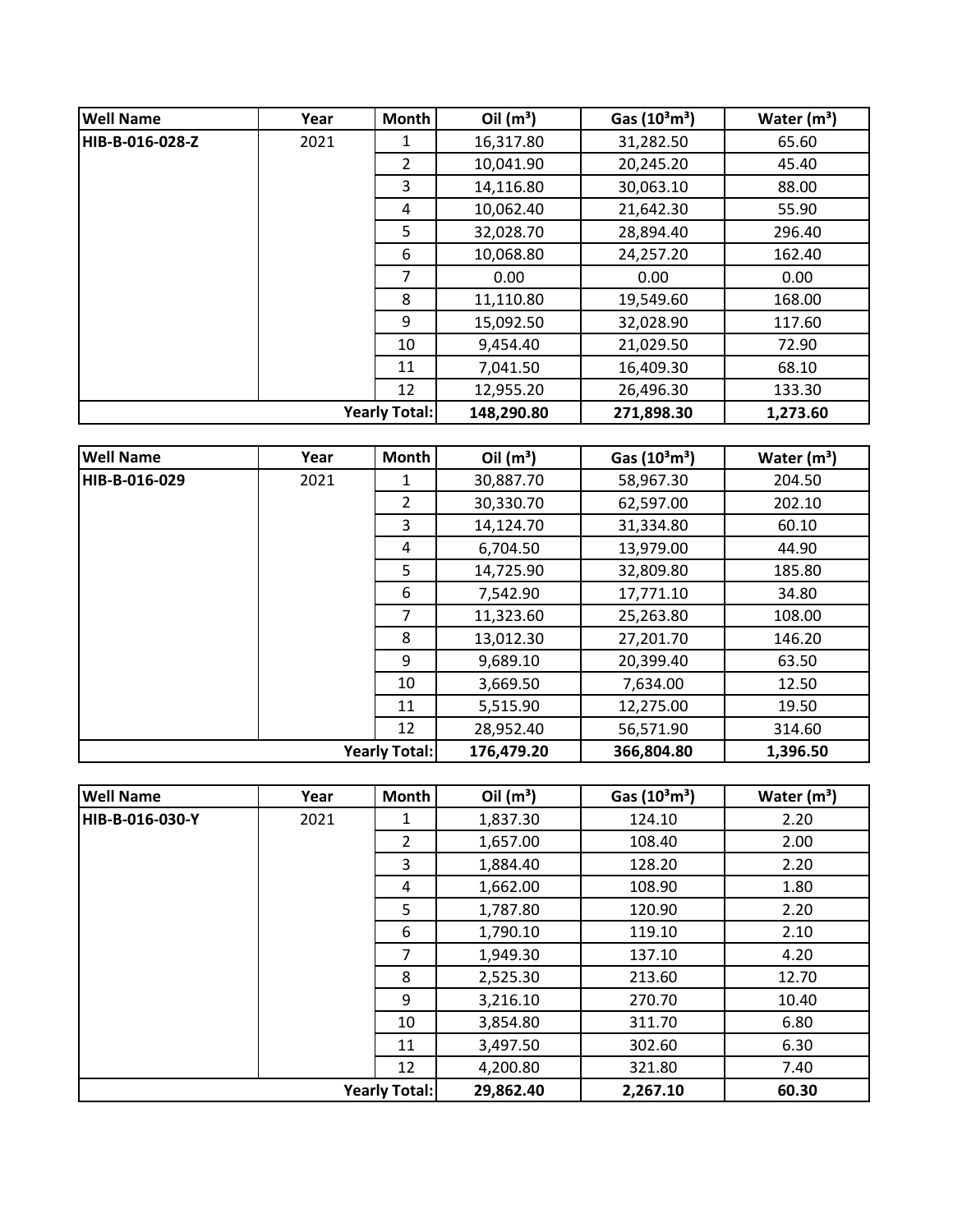| <b>Well Name</b> | Year | Month                | Oil $(m^3)$ | Gas $(10^3 \text{m}^3)$ | Water $(m^3)$ |
|------------------|------|----------------------|-------------|-------------------------|---------------|
| HIB-B-016-028-Z  | 2021 | 1                    | 16,317.80   | 31,282.50               | 65.60         |
|                  |      | $\overline{2}$       | 10,041.90   | 20,245.20               | 45.40         |
|                  |      | 3                    | 14,116.80   | 30,063.10               | 88.00         |
|                  |      | 4                    | 10,062.40   | 21,642.30               | 55.90         |
|                  |      | 5                    | 32,028.70   | 28,894.40               | 296.40        |
|                  |      | 6                    | 10,068.80   | 24,257.20               | 162.40        |
|                  |      | 7                    | 0.00        | 0.00                    | 0.00          |
|                  |      | 8                    | 11,110.80   | 19,549.60               | 168.00        |
|                  |      | 9                    | 15,092.50   | 32,028.90               | 117.60        |
|                  |      | 10                   | 9,454.40    | 21,029.50               | 72.90         |
|                  |      | 11                   | 7,041.50    | 16,409.30               | 68.10         |
|                  |      | 12                   | 12,955.20   | 26,496.30               | 133.30        |
|                  |      | <b>Yearly Total:</b> | 148,290.80  | 271,898.30              | 1,273.60      |

| <b>Well Name</b>     | Year | Month          | Oil $(m^3)$ | Gas $(10^3 \text{m}^3)$ | Water $(m^3)$ |
|----------------------|------|----------------|-------------|-------------------------|---------------|
| HIB-B-016-029        | 2021 | 1              | 30,887.70   | 58,967.30               | 204.50        |
|                      |      | $\overline{2}$ | 30,330.70   | 62,597.00               | 202.10        |
|                      |      | 3              | 14,124.70   | 31,334.80               | 60.10         |
|                      |      | 4              | 6,704.50    | 13,979.00               | 44.90         |
|                      |      | 5              | 14,725.90   | 32,809.80               | 185.80        |
|                      |      | 6              | 7,542.90    | 17,771.10               | 34.80         |
|                      |      | $\overline{7}$ | 11,323.60   | 25,263.80               | 108.00        |
|                      |      | 8              | 13,012.30   | 27,201.70               | 146.20        |
|                      |      | 9              | 9,689.10    | 20,399.40               | 63.50         |
|                      |      | 10             | 3,669.50    | 7,634.00                | 12.50         |
|                      |      | 11             | 5,515.90    | 12,275.00               | 19.50         |
|                      |      | 12             | 28,952.40   | 56,571.90               | 314.60        |
| <b>Yearly Total:</b> |      |                | 176,479.20  | 366,804.80              | 1,396.50      |

| <b>Well Name</b>     | Year | <b>Month</b>   | Oil $(m^3)$ | Gas (10 <sup>3</sup> m <sup>3</sup> ) | Water $(m^3)$ |
|----------------------|------|----------------|-------------|---------------------------------------|---------------|
| HIB-B-016-030-Y      | 2021 | 1              | 1,837.30    | 124.10                                | 2.20          |
|                      |      | $\overline{2}$ | 1,657.00    | 108.40                                | 2.00          |
|                      |      | 3              | 1,884.40    | 128.20                                | 2.20          |
|                      |      | 4              | 1,662.00    | 108.90                                | 1.80          |
|                      |      | 5              | 1,787.80    | 120.90                                | 2.20          |
|                      |      | 6              | 1,790.10    | 119.10                                | 2.10          |
|                      |      | $\overline{7}$ | 1,949.30    | 137.10                                | 4.20          |
|                      |      | 8              | 2,525.30    | 213.60                                | 12.70         |
|                      |      | 9              | 3,216.10    | 270.70                                | 10.40         |
|                      |      | 10             | 3,854.80    | 311.70                                | 6.80          |
|                      |      | 11             | 3,497.50    | 302.60                                | 6.30          |
|                      |      | 12             | 4,200.80    | 321.80                                | 7.40          |
| <b>Yearly Total:</b> |      |                | 29,862.40   | 2,267.10                              | 60.30         |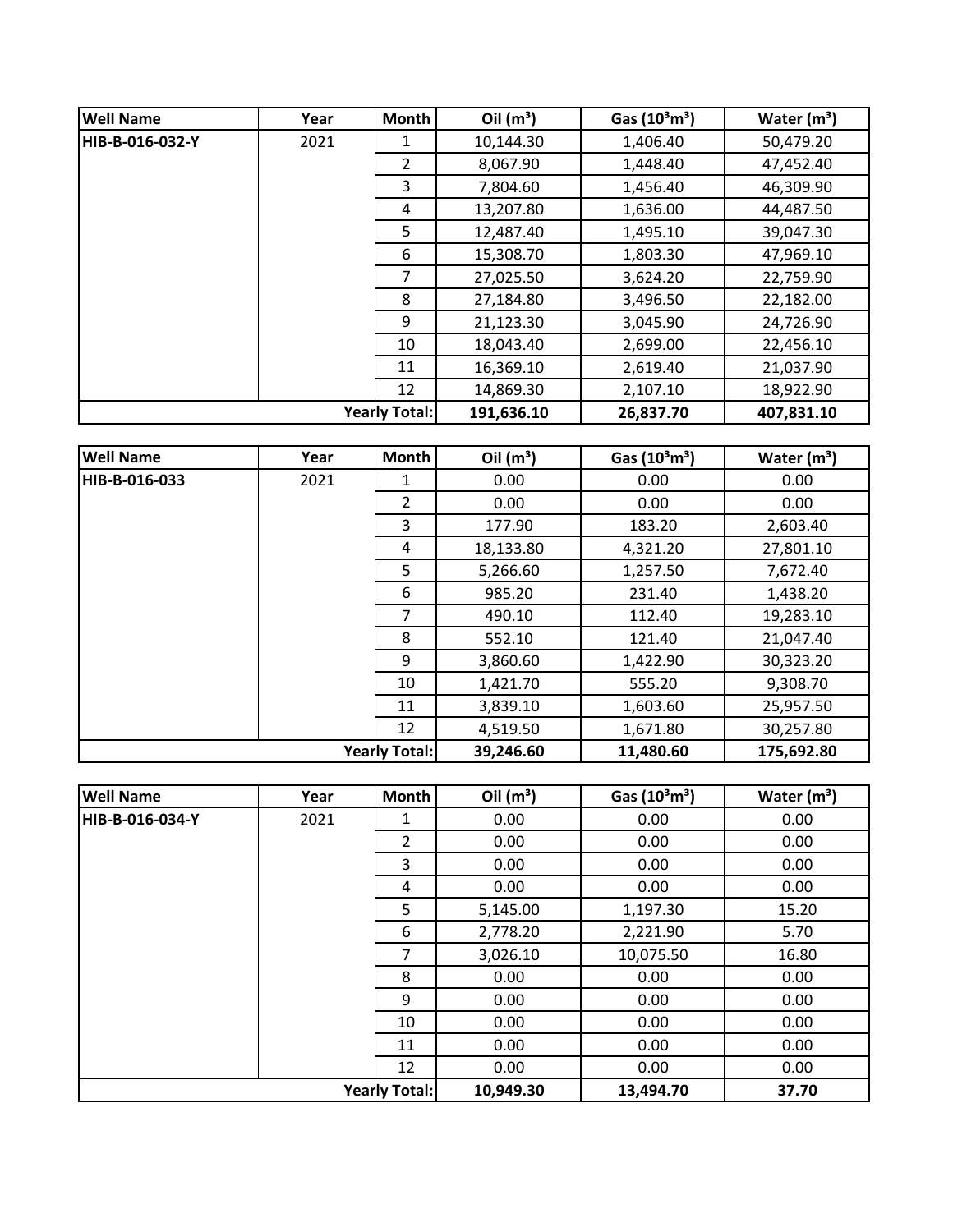| <b>Well Name</b> | Year                 | Month | Oil $(m^3)$ | Gas $(10^3 \text{m}^3)$ | Water $(m^3)$ |
|------------------|----------------------|-------|-------------|-------------------------|---------------|
| HIB-B-016-032-Y  | 2021                 | 1     | 10,144.30   | 1,406.40                | 50,479.20     |
|                  |                      | 2     | 8,067.90    | 1,448.40                | 47,452.40     |
|                  |                      | 3     | 7,804.60    | 1,456.40                | 46,309.90     |
|                  |                      | 4     | 13,207.80   | 1,636.00                | 44,487.50     |
|                  |                      | 5     | 12,487.40   | 1,495.10                | 39,047.30     |
|                  |                      | 6     | 15,308.70   | 1,803.30                | 47,969.10     |
|                  |                      | 7     | 27,025.50   | 3,624.20                | 22,759.90     |
|                  |                      | 8     | 27,184.80   | 3,496.50                | 22,182.00     |
|                  |                      | 9     | 21,123.30   | 3,045.90                | 24,726.90     |
|                  |                      | 10    | 18,043.40   | 2,699.00                | 22,456.10     |
|                  |                      | 11    | 16,369.10   | 2,619.40                | 21,037.90     |
|                  |                      | 12    | 14,869.30   | 2,107.10                | 18,922.90     |
|                  | <b>Yearly Total:</b> |       | 191,636.10  | 26,837.70               | 407,831.10    |

| <b>Well Name</b>     | Year | Month     | Oil $(m^3)$ | Gas $(10^3 \text{m}^3)$ | Water $(m^3)$ |
|----------------------|------|-----------|-------------|-------------------------|---------------|
| HIB-B-016-033        | 2021 | 1         | 0.00        | 0.00                    | 0.00          |
|                      |      | 2         | 0.00        | 0.00                    | 0.00          |
|                      |      | 3         | 177.90      | 183.20                  | 2,603.40      |
|                      |      | 4         | 18,133.80   | 4,321.20                | 27,801.10     |
|                      |      | 5         | 5,266.60    | 1,257.50                | 7,672.40      |
|                      |      | 6         | 985.20      | 231.40                  | 1,438.20      |
|                      |      | 7         | 490.10      | 112.40                  | 19,283.10     |
|                      |      | 8         | 552.10      | 121.40                  | 21,047.40     |
|                      |      | 9         | 3,860.60    | 1,422.90                | 30,323.20     |
|                      |      | 10        | 1,421.70    | 555.20                  | 9,308.70      |
|                      |      | 11        | 3,839.10    | 1,603.60                | 25,957.50     |
|                      |      | 12        | 4,519.50    | 1,671.80                | 30,257.80     |
| <b>Yearly Total:</b> |      | 39,246.60 | 11,480.60   | 175,692.80              |               |

| <b>Well Name</b>     | Year | Month          | Oil $(m^3)$ | Gas $(10^3 \text{m}^3)$ | Water $(m^3)$ |
|----------------------|------|----------------|-------------|-------------------------|---------------|
| HIB-B-016-034-Y      | 2021 | 1              | 0.00        | 0.00                    | 0.00          |
|                      |      | $\overline{2}$ | 0.00        | 0.00                    | 0.00          |
|                      |      | 3              | 0.00        | 0.00                    | 0.00          |
|                      |      | 4              | 0.00        | 0.00                    | 0.00          |
|                      |      | 5              | 5,145.00    | 1,197.30                | 15.20         |
|                      |      | 6              | 2,778.20    | 2,221.90                | 5.70          |
|                      |      | 7              | 3,026.10    | 10,075.50               | 16.80         |
|                      |      | 8              | 0.00        | 0.00                    | 0.00          |
|                      |      | 9              | 0.00        | 0.00                    | 0.00          |
|                      |      | 10             | 0.00        | 0.00                    | 0.00          |
|                      |      | 11             | 0.00        | 0.00                    | 0.00          |
|                      |      | 12             | 0.00        | 0.00                    | 0.00          |
| <b>Yearly Total:</b> |      |                | 10,949.30   | 13,494.70               | 37.70         |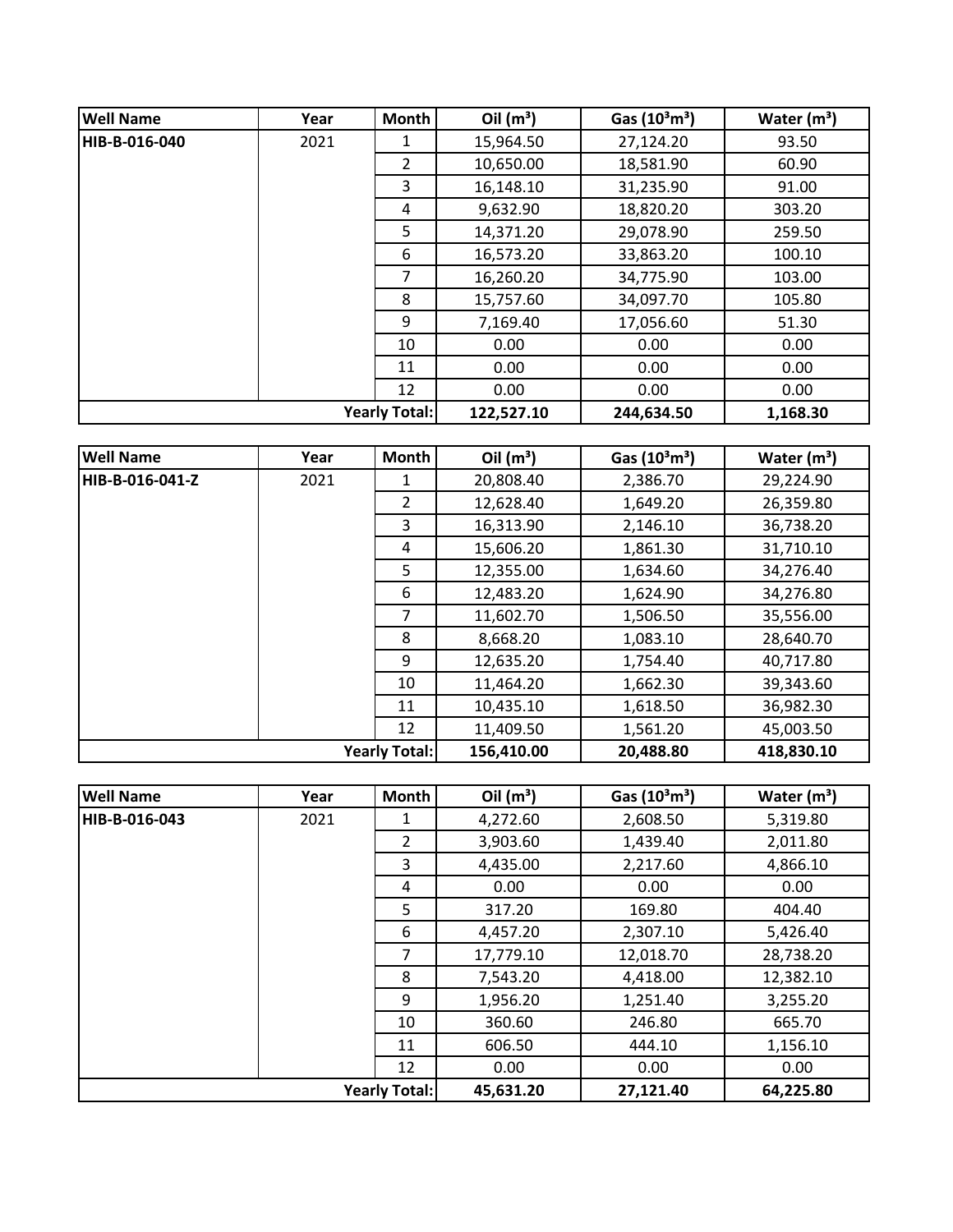| <b>Well Name</b> | Year                 | <b>Month</b>   | Oil $(m^3)$ | Gas $(10^3 \text{m}^3)$ | Water $(m^3)$ |
|------------------|----------------------|----------------|-------------|-------------------------|---------------|
| HIB-B-016-040    | 2021                 | 1              | 15,964.50   | 27,124.20               | 93.50         |
|                  |                      | $\overline{2}$ | 10,650.00   | 18,581.90               | 60.90         |
|                  |                      | 3              | 16,148.10   | 31,235.90               | 91.00         |
|                  |                      | 4              | 9,632.90    | 18,820.20               | 303.20        |
|                  |                      | 5              | 14,371.20   | 29,078.90               | 259.50        |
|                  |                      | 6              | 16,573.20   | 33,863.20               | 100.10        |
|                  |                      | 7              | 16,260.20   | 34,775.90               | 103.00        |
|                  |                      | 8              | 15,757.60   | 34,097.70               | 105.80        |
|                  |                      | 9              | 7,169.40    | 17,056.60               | 51.30         |
|                  |                      | 10             | 0.00        | 0.00                    | 0.00          |
|                  |                      | 11             | 0.00        | 0.00                    | 0.00          |
|                  |                      | 12             | 0.00        | 0.00                    | 0.00          |
|                  | <b>Yearly Total:</b> |                | 122,527.10  | 244,634.50              | 1,168.30      |

| <b>Well Name</b>     | Year | <b>Month</b> | Oil $(m^3)$ | Gas $(10^3 \text{m}^3)$ | Water $(m^3)$ |
|----------------------|------|--------------|-------------|-------------------------|---------------|
| HIB-B-016-041-Z      | 2021 | 1            | 20,808.40   | 2,386.70                | 29,224.90     |
|                      |      | 2            | 12,628.40   | 1,649.20                | 26,359.80     |
|                      |      | 3            | 16,313.90   | 2,146.10                | 36,738.20     |
|                      |      | 4            | 15,606.20   | 1,861.30                | 31,710.10     |
|                      |      | 5            | 12,355.00   | 1,634.60                | 34,276.40     |
|                      |      | 6            | 12,483.20   | 1,624.90                | 34,276.80     |
|                      |      | 7            | 11,602.70   | 1,506.50                | 35,556.00     |
|                      |      | 8            | 8,668.20    | 1,083.10                | 28,640.70     |
|                      |      | 9            | 12,635.20   | 1,754.40                | 40,717.80     |
|                      |      | 10           | 11,464.20   | 1,662.30                | 39,343.60     |
|                      |      | 11           | 10,435.10   | 1,618.50                | 36,982.30     |
|                      |      | 12           | 11,409.50   | 1,561.20                | 45,003.50     |
| <b>Yearly Total:</b> |      |              | 156,410.00  | 20,488.80               | 418,830.10    |

| <b>Well Name</b>     | Year | <b>Month</b>   | Oil $(m^3)$ | Gas $(10^3 \text{m}^3)$ | Water $(m^3)$ |
|----------------------|------|----------------|-------------|-------------------------|---------------|
| HIB-B-016-043        | 2021 | 1              | 4,272.60    | 2,608.50                | 5,319.80      |
|                      |      | $\overline{2}$ | 3,903.60    | 1,439.40                | 2,011.80      |
|                      |      | 3              | 4,435.00    | 2,217.60                | 4,866.10      |
|                      |      | 4              | 0.00        | 0.00                    | 0.00          |
|                      |      | 5              | 317.20      | 169.80                  | 404.40        |
|                      |      | 6              | 4,457.20    | 2,307.10                | 5,426.40      |
|                      |      | 7              | 17,779.10   | 12,018.70               | 28,738.20     |
|                      |      | 8              | 7,543.20    | 4,418.00                | 12,382.10     |
|                      |      | 9              | 1,956.20    | 1,251.40                | 3,255.20      |
|                      |      | 10             | 360.60      | 246.80                  | 665.70        |
|                      |      | 11             | 606.50      | 444.10                  | 1,156.10      |
|                      |      | 12             | 0.00        | 0.00                    | 0.00          |
| <b>Yearly Total:</b> |      |                | 45,631.20   | 27,121.40               | 64,225.80     |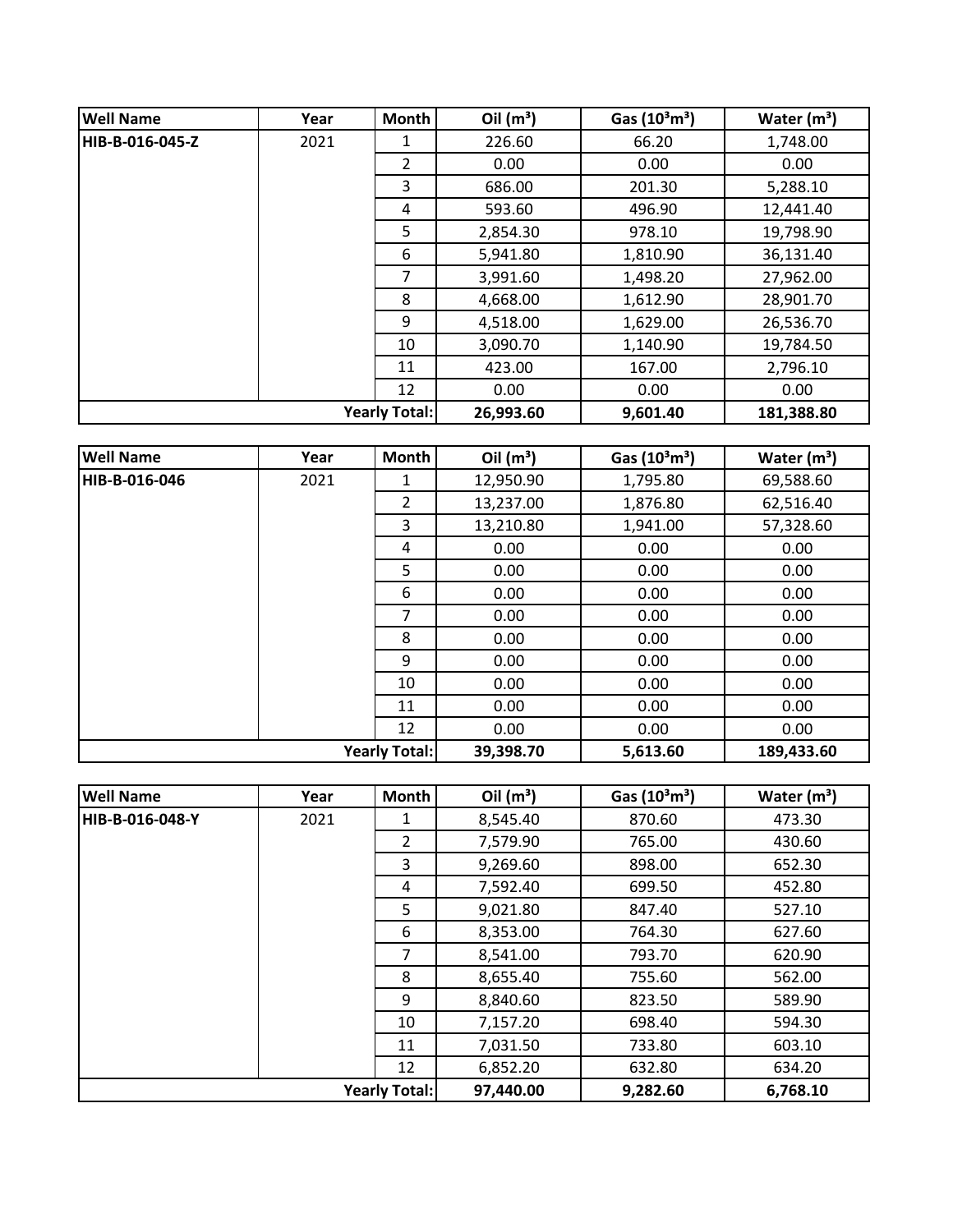| <b>Well Name</b>     | Year | <b>Month</b>   | Oil $(m^3)$ | Gas $(10^3 \text{m}^3)$ | Water $(m^3)$ |
|----------------------|------|----------------|-------------|-------------------------|---------------|
| HIB-B-016-045-Z      | 2021 | 1              | 226.60      | 66.20                   | 1,748.00      |
|                      |      | $\overline{2}$ | 0.00        | 0.00                    | 0.00          |
|                      |      | 3              | 686.00      | 201.30                  | 5,288.10      |
|                      |      | 4              | 593.60      | 496.90                  | 12,441.40     |
|                      |      | 5              | 2,854.30    | 978.10                  | 19,798.90     |
|                      |      | 6              | 5,941.80    | 1,810.90                | 36,131.40     |
|                      |      | 7              | 3,991.60    | 1,498.20                | 27,962.00     |
|                      |      | 8              | 4,668.00    | 1,612.90                | 28,901.70     |
|                      |      | 9              | 4,518.00    | 1,629.00                | 26,536.70     |
|                      |      | 10             | 3,090.70    | 1,140.90                | 19,784.50     |
|                      |      | 11             | 423.00      | 167.00                  | 2,796.10      |
|                      |      | 12             | 0.00        | 0.00                    | 0.00          |
| <b>Yearly Total:</b> |      | 26,993.60      | 9,601.40    | 181,388.80              |               |

| <b>Well Name</b>     | Year | Month          | Oil $(m^3)$ | Gas $(10^3 \text{m}^3)$ | Water $(m^3)$ |
|----------------------|------|----------------|-------------|-------------------------|---------------|
| HIB-B-016-046        | 2021 | 1              | 12,950.90   | 1,795.80                | 69,588.60     |
|                      |      | $\overline{2}$ | 13,237.00   | 1,876.80                | 62,516.40     |
|                      |      | 3              | 13,210.80   | 1,941.00                | 57,328.60     |
|                      |      | 4              | 0.00        | 0.00                    | 0.00          |
|                      |      | 5              | 0.00        | 0.00                    | 0.00          |
|                      |      | 6              | 0.00        | 0.00                    | 0.00          |
|                      |      | 7              | 0.00        | 0.00                    | 0.00          |
|                      |      | 8              | 0.00        | 0.00                    | 0.00          |
|                      |      | 9              | 0.00        | 0.00                    | 0.00          |
|                      |      | 10             | 0.00        | 0.00                    | 0.00          |
|                      |      | 11             | 0.00        | 0.00                    | 0.00          |
|                      |      | 12             | 0.00        | 0.00                    | 0.00          |
| <b>Yearly Total:</b> |      |                | 39,398.70   | 5,613.60                | 189,433.60    |

| <b>Well Name</b>     | Year | Month          | Oil $(m^3)$ | Gas $(10^3 \text{m}^3)$ | Water $(m^3)$ |
|----------------------|------|----------------|-------------|-------------------------|---------------|
| HIB-B-016-048-Y      | 2021 | 1              | 8,545.40    | 870.60                  | 473.30        |
|                      |      | $\overline{2}$ | 7,579.90    | 765.00                  | 430.60        |
|                      |      | 3              | 9,269.60    | 898.00                  | 652.30        |
|                      |      | 4              | 7,592.40    | 699.50                  | 452.80        |
|                      |      | 5              | 9,021.80    | 847.40                  | 527.10        |
|                      |      | 6              | 8,353.00    | 764.30                  | 627.60        |
|                      |      | 7              | 8,541.00    | 793.70                  | 620.90        |
|                      |      | 8              | 8,655.40    | 755.60                  | 562.00        |
|                      |      | 9              | 8,840.60    | 823.50                  | 589.90        |
|                      |      | 10             | 7,157.20    | 698.40                  | 594.30        |
|                      |      | 11             | 7,031.50    | 733.80                  | 603.10        |
|                      |      | 12             | 6,852.20    | 632.80                  | 634.20        |
| <b>Yearly Total:</b> |      |                | 97,440.00   | 9,282.60                | 6,768.10      |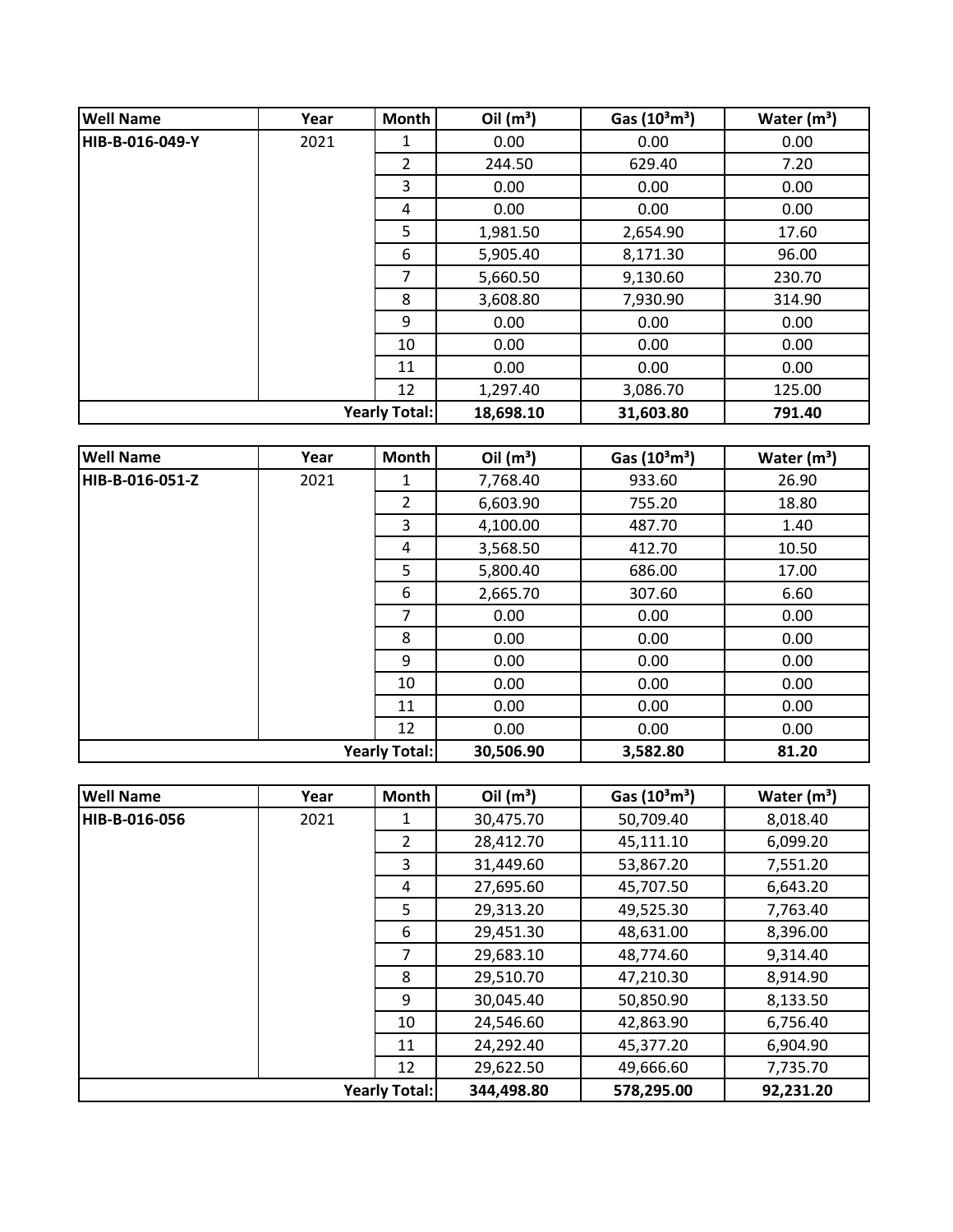| <b>Well Name</b> | Year                 | <b>Month</b> | Oil $(m^3)$ | Gas $(10^3 \text{m}^3)$ | Water $(m^3)$ |
|------------------|----------------------|--------------|-------------|-------------------------|---------------|
| HIB-B-016-049-Y  | 2021                 | 1            | 0.00        | 0.00                    | 0.00          |
|                  |                      | 2            | 244.50      | 629.40                  | 7.20          |
|                  |                      | 3            | 0.00        | 0.00                    | 0.00          |
|                  |                      | 4            | 0.00        | 0.00                    | 0.00          |
|                  |                      | 5            | 1,981.50    | 2,654.90                | 17.60         |
|                  |                      | 6            | 5,905.40    | 8,171.30                | 96.00         |
|                  |                      | 7            | 5,660.50    | 9,130.60                | 230.70        |
|                  |                      | 8            | 3,608.80    | 7,930.90                | 314.90        |
|                  |                      | 9            | 0.00        | 0.00                    | 0.00          |
|                  |                      | 10           | 0.00        | 0.00                    | 0.00          |
|                  |                      | 11           | 0.00        | 0.00                    | 0.00          |
|                  |                      | 12           | 1,297.40    | 3,086.70                | 125.00        |
|                  | <b>Yearly Total:</b> |              | 18,698.10   | 31,603.80               | 791.40        |

| <b>Well Name</b>     | Year | Month          | Oil $(m^3)$ | Gas $(10^3 \text{m}^3)$ | Water $(m^3)$ |
|----------------------|------|----------------|-------------|-------------------------|---------------|
| HIB-B-016-051-Z      | 2021 | 1              | 7,768.40    | 933.60                  | 26.90         |
|                      |      | $\overline{2}$ | 6,603.90    | 755.20                  | 18.80         |
|                      |      | 3              | 4,100.00    | 487.70                  | 1.40          |
|                      |      | 4              | 3,568.50    | 412.70                  | 10.50         |
|                      |      | 5              | 5,800.40    | 686.00                  | 17.00         |
|                      |      | 6              | 2,665.70    | 307.60                  | 6.60          |
|                      |      | 7              | 0.00        | 0.00                    | 0.00          |
|                      |      | 8              | 0.00        | 0.00                    | 0.00          |
|                      |      | 9              | 0.00        | 0.00                    | 0.00          |
|                      |      | 10             | 0.00        | 0.00                    | 0.00          |
|                      |      | 11             | 0.00        | 0.00                    | 0.00          |
|                      |      | 12             | 0.00        | 0.00                    | 0.00          |
| <b>Yearly Total:</b> |      |                | 30,506.90   | 3,582.80                | 81.20         |

| <b>Well Name</b>     | Year | <b>Month</b>   | Oil $(m^3)$ | Gas $(10^3 \text{m}^3)$ | Water $(m^3)$ |
|----------------------|------|----------------|-------------|-------------------------|---------------|
| HIB-B-016-056        | 2021 |                | 30,475.70   | 50,709.40               | 8,018.40      |
|                      |      | $\overline{2}$ | 28,412.70   | 45,111.10               | 6,099.20      |
|                      |      | 3              | 31,449.60   | 53,867.20               | 7,551.20      |
|                      |      | 4              | 27,695.60   | 45,707.50               | 6,643.20      |
|                      |      | 5              | 29,313.20   | 49,525.30               | 7,763.40      |
|                      |      | 6              | 29,451.30   | 48,631.00               | 8,396.00      |
|                      |      | 7              | 29,683.10   | 48,774.60               | 9,314.40      |
|                      |      | 8              | 29,510.70   | 47,210.30               | 8,914.90      |
|                      |      | 9              | 30,045.40   | 50,850.90               | 8,133.50      |
|                      |      | 10             | 24,546.60   | 42,863.90               | 6,756.40      |
|                      |      | 11             | 24,292.40   | 45,377.20               | 6,904.90      |
|                      |      | 12             | 29,622.50   | 49,666.60               | 7,735.70      |
| <b>Yearly Total:</b> |      |                | 344,498.80  | 578,295.00              | 92,231.20     |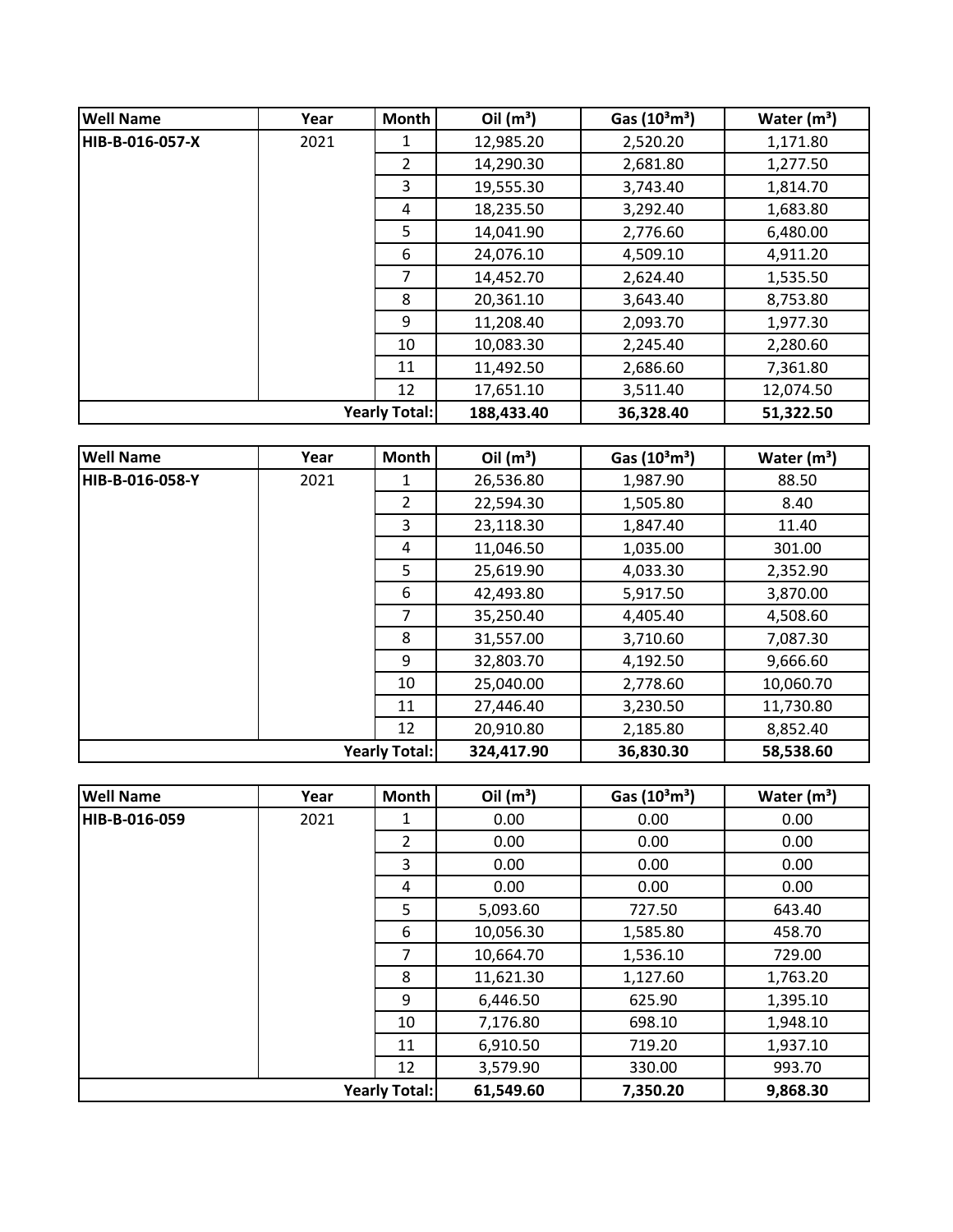| <b>Well Name</b>     | Year | <b>Month</b> | Oil $(m^3)$ | Gas $(10^3 \text{m}^3)$ | Water $(m^3)$ |
|----------------------|------|--------------|-------------|-------------------------|---------------|
| HIB-B-016-057-X      | 2021 | 1            | 12,985.20   | 2,520.20                | 1,171.80      |
|                      |      | 2            | 14,290.30   | 2,681.80                | 1,277.50      |
|                      |      | 3            | 19,555.30   | 3,743.40                | 1,814.70      |
|                      |      | 4            | 18,235.50   | 3,292.40                | 1,683.80      |
|                      |      | 5            | 14,041.90   | 2,776.60                | 6,480.00      |
|                      |      | 6            | 24,076.10   | 4,509.10                | 4,911.20      |
|                      |      | 7            | 14,452.70   | 2,624.40                | 1,535.50      |
|                      |      | 8            | 20,361.10   | 3,643.40                | 8,753.80      |
|                      |      | 9            | 11,208.40   | 2,093.70                | 1,977.30      |
|                      |      | 10           | 10,083.30   | 2,245.40                | 2,280.60      |
|                      |      | 11           | 11,492.50   | 2,686.60                | 7,361.80      |
|                      |      | 12           | 17,651.10   | 3,511.40                | 12,074.50     |
| <b>Yearly Total:</b> |      |              | 188,433.40  | 36,328.40               | 51,322.50     |

| <b>Well Name</b> | Year | Month                | Oil $(m^3)$ | Gas $(10^3 \text{m}^3)$ | Water $(m^3)$ |
|------------------|------|----------------------|-------------|-------------------------|---------------|
| HIB-B-016-058-Y  | 2021 | 1                    | 26,536.80   | 1,987.90                | 88.50         |
|                  |      | $\overline{2}$       | 22,594.30   | 1,505.80                | 8.40          |
|                  |      | 3                    | 23,118.30   | 1,847.40                | 11.40         |
|                  |      | 4                    | 11,046.50   | 1,035.00                | 301.00        |
|                  |      | 5                    | 25,619.90   | 4,033.30                | 2,352.90      |
|                  |      | 6                    | 42,493.80   | 5,917.50                | 3,870.00      |
|                  |      | $\overline{7}$       | 35,250.40   | 4,405.40                | 4,508.60      |
|                  |      | 8                    | 31,557.00   | 3,710.60                | 7,087.30      |
|                  |      | 9                    | 32,803.70   | 4,192.50                | 9,666.60      |
|                  |      | 10                   | 25,040.00   | 2,778.60                | 10,060.70     |
|                  |      | 11                   | 27,446.40   | 3,230.50                | 11,730.80     |
|                  |      | 12                   | 20,910.80   | 2,185.80                | 8,852.40      |
|                  |      | <b>Yearly Total:</b> | 324,417.90  | 36,830.30               | 58,538.60     |

| <b>Well Name</b>     | Year | <b>Month</b>   | Oil $(m^3)$ | Gas $(10^3 \text{m}^3)$ | Water $(m^3)$ |
|----------------------|------|----------------|-------------|-------------------------|---------------|
| HIB-B-016-059        | 2021 | 1              | 0.00        | 0.00                    | 0.00          |
|                      |      | $\overline{2}$ | 0.00        | 0.00                    | 0.00          |
|                      |      | 3              | 0.00        | 0.00                    | 0.00          |
|                      |      | 4              | 0.00        | 0.00                    | 0.00          |
|                      |      | 5              | 5,093.60    | 727.50                  | 643.40        |
|                      |      | 6              | 10,056.30   | 1,585.80                | 458.70        |
|                      |      | 7              | 10,664.70   | 1,536.10                | 729.00        |
|                      |      | 8              | 11,621.30   | 1,127.60                | 1,763.20      |
|                      |      | 9              | 6,446.50    | 625.90                  | 1,395.10      |
|                      |      | 10             | 7,176.80    | 698.10                  | 1,948.10      |
|                      |      | 11             | 6,910.50    | 719.20                  | 1,937.10      |
|                      |      | 12             | 3,579.90    | 330.00                  | 993.70        |
| <b>Yearly Total:</b> |      |                | 61,549.60   | 7,350.20                | 9,868.30      |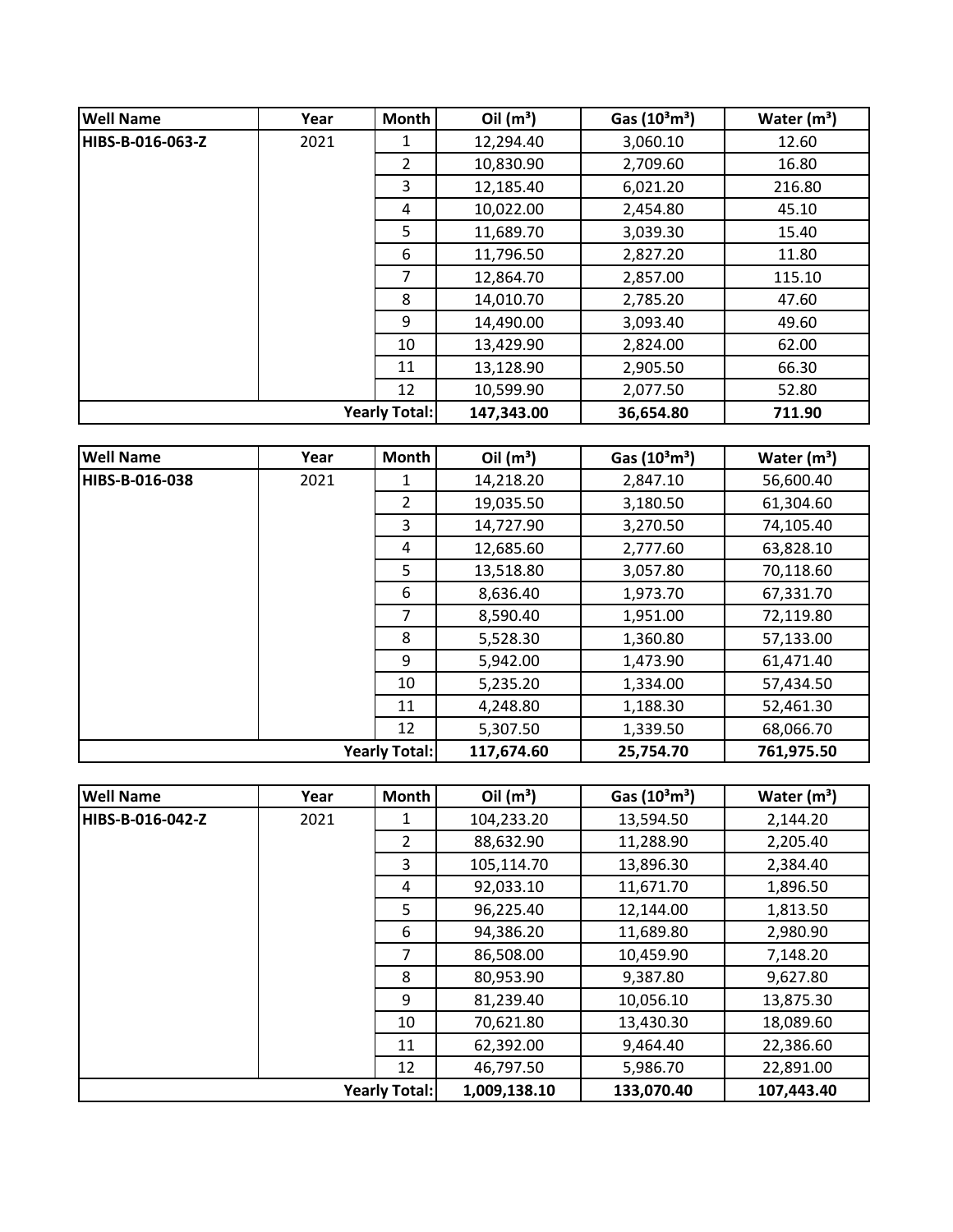| <b>Well Name</b> | Year | <b>Month</b>         | Oil $(m^3)$ | Gas $(10^3 \text{m}^3)$ | Water $(m^3)$ |
|------------------|------|----------------------|-------------|-------------------------|---------------|
| HIBS-B-016-063-Z | 2021 | 1                    | 12,294.40   | 3,060.10                | 12.60         |
|                  |      | $\overline{2}$       | 10,830.90   | 2,709.60                | 16.80         |
|                  |      | 3                    | 12,185.40   | 6,021.20                | 216.80        |
|                  |      | 4                    | 10,022.00   | 2,454.80                | 45.10         |
|                  |      | 5                    | 11,689.70   | 3,039.30                | 15.40         |
|                  |      | 6                    | 11,796.50   | 2,827.20                | 11.80         |
|                  |      | 7                    | 12,864.70   | 2,857.00                | 115.10        |
|                  |      | 8                    | 14,010.70   | 2,785.20                | 47.60         |
|                  |      | 9                    | 14,490.00   | 3,093.40                | 49.60         |
|                  |      | 10                   | 13,429.90   | 2,824.00                | 62.00         |
|                  |      | 11                   | 13,128.90   | 2,905.50                | 66.30         |
|                  |      | 12                   | 10,599.90   | 2,077.50                | 52.80         |
|                  |      | <b>Yearly Total:</b> | 147,343.00  | 36,654.80               | 711.90        |

| <b>Well Name</b>     | Year | Month          | Oil $(m^3)$ | Gas $(10^3 \text{m}^3)$ | Water $(m^3)$ |
|----------------------|------|----------------|-------------|-------------------------|---------------|
| HIBS-B-016-038       | 2021 | 1              | 14,218.20   | 2,847.10                | 56,600.40     |
|                      |      | $\overline{2}$ | 19,035.50   | 3,180.50                | 61,304.60     |
|                      |      | 3              | 14,727.90   | 3,270.50                | 74,105.40     |
|                      |      | 4              | 12,685.60   | 2,777.60                | 63,828.10     |
|                      |      | 5              | 13,518.80   | 3,057.80                | 70,118.60     |
|                      |      | 6              | 8,636.40    | 1,973.70                | 67,331.70     |
|                      |      | $\overline{7}$ | 8,590.40    | 1,951.00                | 72,119.80     |
|                      |      | 8              | 5,528.30    | 1,360.80                | 57,133.00     |
|                      |      | 9              | 5,942.00    | 1,473.90                | 61,471.40     |
|                      |      | 10             | 5,235.20    | 1,334.00                | 57,434.50     |
|                      |      | 11             | 4,248.80    | 1,188.30                | 52,461.30     |
|                      |      | 12             | 5,307.50    | 1,339.50                | 68,066.70     |
| <b>Yearly Total:</b> |      |                | 117,674.60  | 25,754.70               | 761,975.50    |

| <b>Well Name</b> | Year | <b>Month</b>         | Oil $(m^3)$  | Gas $(10^3 \text{m}^3)$ | Water $(m^3)$ |
|------------------|------|----------------------|--------------|-------------------------|---------------|
| HIBS-B-016-042-Z | 2021 |                      | 104,233.20   | 13,594.50               | 2,144.20      |
|                  |      | $\overline{2}$       | 88,632.90    | 11,288.90               | 2,205.40      |
|                  |      | 3                    | 105,114.70   | 13,896.30               | 2,384.40      |
|                  |      | 4                    | 92,033.10    | 11,671.70               | 1,896.50      |
|                  |      | 5.                   | 96,225.40    | 12,144.00               | 1,813.50      |
|                  |      | 6                    | 94,386.20    | 11,689.80               | 2,980.90      |
|                  |      | 7                    | 86,508.00    | 10,459.90               | 7,148.20      |
|                  |      | 8                    | 80,953.90    | 9,387.80                | 9,627.80      |
|                  |      | 9                    | 81,239.40    | 10,056.10               | 13,875.30     |
|                  |      | 10                   | 70,621.80    | 13,430.30               | 18,089.60     |
|                  |      | 11                   | 62,392.00    | 9,464.40                | 22,386.60     |
|                  |      | 12                   | 46,797.50    | 5,986.70                | 22,891.00     |
|                  |      | <b>Yearly Total:</b> | 1,009,138.10 | 133,070.40              | 107,443.40    |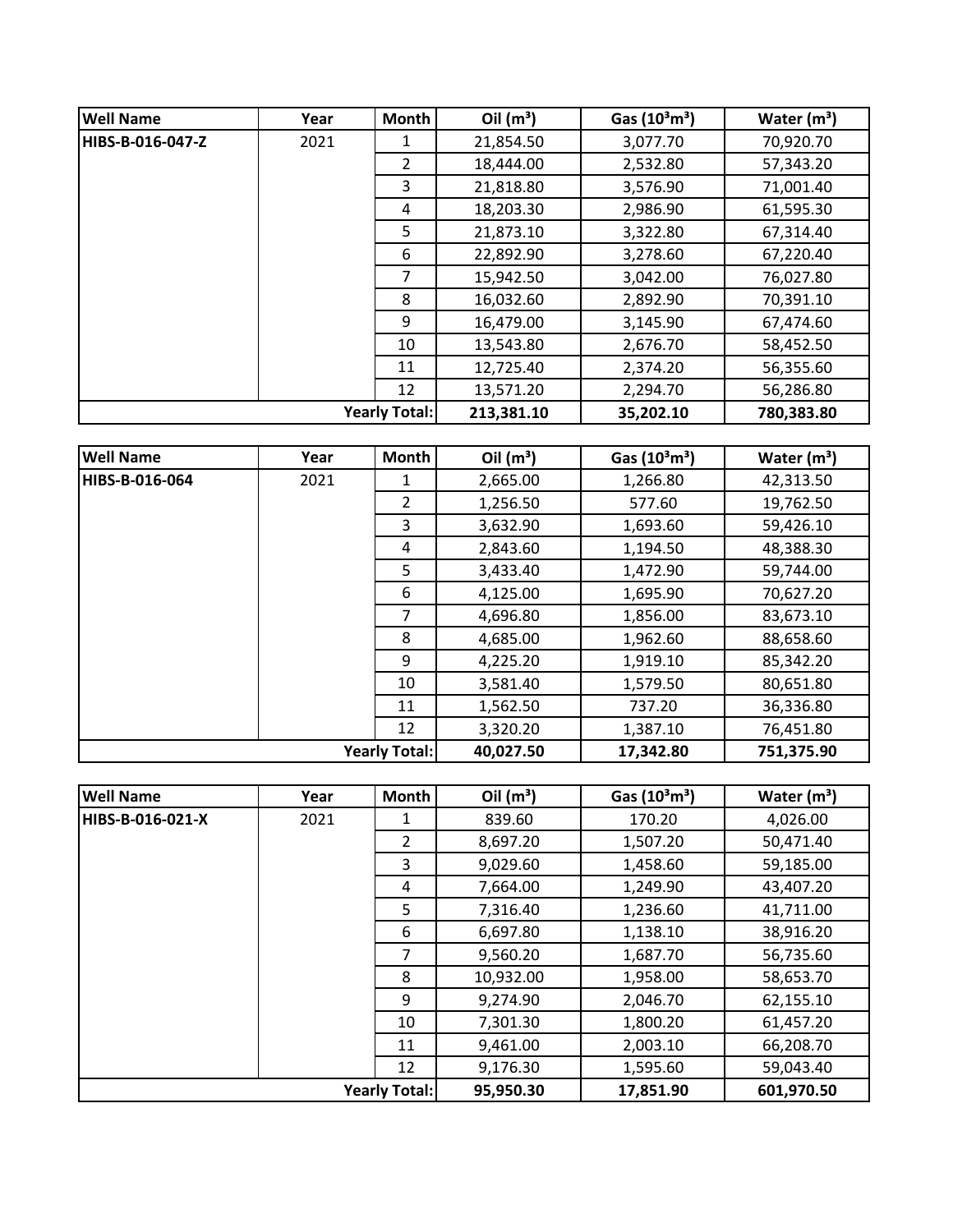| <b>Well Name</b> | Year | Month                | Oil $(m^3)$ | Gas $(10^3 \text{m}^3)$ | Water $(m^3)$ |
|------------------|------|----------------------|-------------|-------------------------|---------------|
| HIBS-B-016-047-Z | 2021 | 1                    | 21,854.50   | 3,077.70                | 70,920.70     |
|                  |      | $\overline{2}$       | 18,444.00   | 2,532.80                | 57,343.20     |
|                  |      | 3                    | 21,818.80   | 3,576.90                | 71,001.40     |
|                  |      | 4                    | 18,203.30   | 2,986.90                | 61,595.30     |
|                  |      | 5                    | 21,873.10   | 3,322.80                | 67,314.40     |
|                  |      | 6                    | 22,892.90   | 3,278.60                | 67,220.40     |
|                  |      | 7                    | 15,942.50   | 3,042.00                | 76,027.80     |
|                  |      | 8                    | 16,032.60   | 2,892.90                | 70,391.10     |
|                  |      | 9                    | 16,479.00   | 3,145.90                | 67,474.60     |
|                  |      | 10                   | 13,543.80   | 2,676.70                | 58,452.50     |
|                  |      | 11                   | 12,725.40   | 2,374.20                | 56,355.60     |
|                  |      | 12                   | 13,571.20   | 2,294.70                | 56,286.80     |
|                  |      | <b>Yearly Total:</b> | 213,381.10  | 35,202.10               | 780,383.80    |

| <b>Well Name</b> | Year | <b>Month</b>         | Oil $(m^3)$ | Gas $(10^3 \text{m}^3)$ | Water $(m^3)$ |
|------------------|------|----------------------|-------------|-------------------------|---------------|
| HIBS-B-016-064   | 2021 | 1                    | 2,665.00    | 1,266.80                | 42,313.50     |
|                  |      | $\overline{2}$       | 1,256.50    | 577.60                  | 19,762.50     |
|                  |      | 3                    | 3,632.90    | 1,693.60                | 59,426.10     |
|                  |      | 4                    | 2,843.60    | 1,194.50                | 48,388.30     |
|                  |      | 5                    | 3,433.40    | 1,472.90                | 59,744.00     |
|                  |      | 6                    | 4,125.00    | 1,695.90                | 70,627.20     |
|                  |      | 7                    | 4,696.80    | 1,856.00                | 83,673.10     |
|                  |      | 8                    | 4,685.00    | 1,962.60                | 88,658.60     |
|                  |      | 9                    | 4,225.20    | 1,919.10                | 85,342.20     |
|                  |      | 10                   | 3,581.40    | 1,579.50                | 80,651.80     |
|                  |      | 11                   | 1,562.50    | 737.20                  | 36,336.80     |
|                  |      | 12                   | 3,320.20    | 1,387.10                | 76,451.80     |
|                  |      | <b>Yearly Total:</b> | 40,027.50   | 17,342.80               | 751,375.90    |

| <b>Well Name</b> | Year | <b>Month</b>         | Oil $(m^3)$ | Gas $(10^3 \text{m}^3)$ | Water $(m^3)$ |
|------------------|------|----------------------|-------------|-------------------------|---------------|
| HIBS-B-016-021-X | 2021 |                      | 839.60      | 170.20                  | 4,026.00      |
|                  |      | $\overline{2}$       | 8,697.20    | 1,507.20                | 50,471.40     |
|                  |      | 3                    | 9,029.60    | 1,458.60                | 59,185.00     |
|                  |      | 4                    | 7,664.00    | 1,249.90                | 43,407.20     |
|                  |      | 5                    | 7,316.40    | 1,236.60                | 41,711.00     |
|                  |      | 6                    | 6,697.80    | 1,138.10                | 38,916.20     |
|                  |      | 7                    | 9,560.20    | 1,687.70                | 56,735.60     |
|                  |      | 8                    | 10,932.00   | 1,958.00                | 58,653.70     |
|                  |      | 9                    | 9,274.90    | 2,046.70                | 62,155.10     |
|                  |      | 10                   | 7,301.30    | 1,800.20                | 61,457.20     |
|                  |      | 11                   | 9,461.00    | 2,003.10                | 66,208.70     |
|                  |      | 12                   | 9,176.30    | 1,595.60                | 59,043.40     |
|                  |      | <b>Yearly Total:</b> | 95,950.30   | 17,851.90               | 601,970.50    |